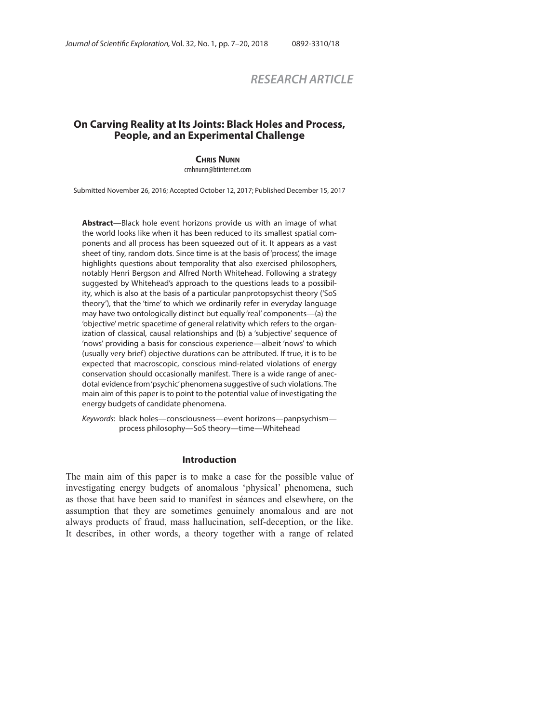# *RESEARCH ARTICLE*

# **On Carving Reality at Its Joints: Black Holes and Process, People, and an Experimental Challenge**

**CHRIS NUNN**

cmhnunn@btinternet.com

Submitted November 26, 2016; Accepted October 12, 2017; Published December 15, 2017

**Abstract**—Black hole event horizons provide us with an image of what the world looks like when it has been reduced to its smallest spatial components and all process has been squeezed out of it. It appears as a vast sheet of tiny, random dots. Since time is at the basis of 'process', the image highlights questions about temporality that also exercised philosophers, notably Henri Bergson and Alfred North Whitehead. Following a strategy suggested by Whitehead's approach to the questions leads to a possibility, which is also at the basis of a particular panprotopsychist theory ('SoS theory'), that the 'time' to which we ordinarily refer in everyday language may have two ontologically distinct but equally 'real' components—(a) the 'objective' metric spacetime of general relativity which refers to the organization of classical, causal relationships and (b) a 'subjective' sequence of 'nows' providing a basis for conscious experience—albeit 'nows' to which (usually very brief) objective durations can be attributed. If true, it is to be expected that macroscopic, conscious mind-related violations of energy conservation should occasionally manifest. There is a wide range of anecdotal evidence from 'psychic' phenomena suggestive of such violations. The main aim of this paper is to point to the potential value of investigating the energy budgets of candidate phenomena.

Keywords: black holes—consciousness—event horizons—panpsychism process philosophy—SoS theory—time—Whitehead

#### **Introduction**

The main aim of this paper is to make a case for the possible value of investigating energy budgets of anomalous 'physical' phenomena, such as those that have been said to manifest in séances and elsewhere, on the assumption that they are sometimes genuinely anomalous and are not always products of fraud, mass hallucination, self-deception, or the like. It describes, in other words, a theory together with a range of related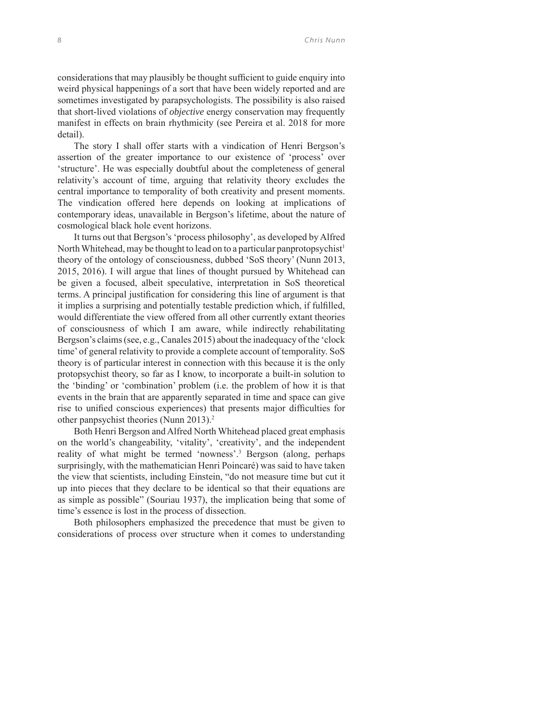considerations that may plausibly be thought sufficient to guide enquiry into weird physical happenings of a sort that have been widely reported and are sometimes investigated by parapsychologists. The possibility is also raised that short-lived violations of *objective* energy conservation may frequently manifest in effects on brain rhythmicity (see Pereira et al. 2018 for more detail).

The story I shall offer starts with a vindication of Henri Bergson's assertion of the greater importance to our existence of 'process' over 'structure'. He was especially doubtful about the completeness of general relativity's account of time, arguing that relativity theory excludes the central importance to temporality of both creativity and present moments. The vindication offered here depends on looking at implications of contemporary ideas, unavailable in Bergson's lifetime, about the nature of cosmological black hole event horizons.

It turns out that Bergson's 'process philosophy', as developed by Alfred North Whitehead, may be thought to lead on to a particular panprotopsychist<sup>1</sup> theory of the ontology of consciousness, dubbed 'SoS theory' (Nunn 2013, 2015, 2016). I will argue that lines of thought pursued by Whitehead can be given a focused, albeit speculative, interpretation in SoS theoretical terms. A principal justification for considering this line of argument is that it implies a surprising and potentially testable prediction which, if fulfilled, would differentiate the view offered from all other currently extant theories of consciousness of which I am aware, while indirectly rehabilitating Bergson's claims (see, e.g., Canales 2015) about the inadequacy of the 'clock time' of general relativity to provide a complete account of temporality. SoS theory is of particular interest in connection with this because it is the only protopsychist theory, so far as I know, to incorporate a built-in solution to the 'binding' or 'combination' problem (i.e. the problem of how it is that events in the brain that are apparently separated in time and space can give rise to unified conscious experiences) that presents major difficulties for other panpsychist theories (Nunn 2013).<sup>2</sup>

Both Henri Bergson and Alfred North Whitehead placed great emphasis on the world's changeability, 'vitality', 'creativity', and the independent reality of what might be termed 'nowness'.<sup>3</sup> Bergson (along, perhaps surprisingly, with the mathematician Henri Poincaré) was said to have taken the view that scientists, including Einstein, "do not measure time but cut it up into pieces that they declare to be identical so that their equations are as simple as possible" (Souriau 1937), the implication being that some of time's essence is lost in the process of dissection.

Both philosophers emphasized the precedence that must be given to considerations of process over structure when it comes to understanding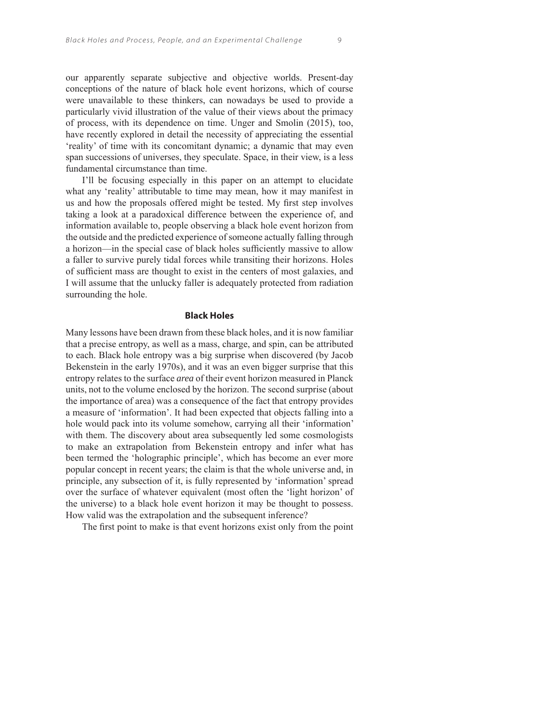our apparently separate subjective and objective worlds. Present-day conceptions of the nature of black hole event horizons, which of course were unavailable to these thinkers, can nowadays be used to provide a particularly vivid illustration of the value of their views about the primacy of process, with its dependence on time. Unger and Smolin (2015), too, have recently explored in detail the necessity of appreciating the essential 'reality' of time with its concomitant dynamic; a dynamic that may even span successions of universes, they speculate. Space, in their view, is a less fundamental circumstance than time.

I'll be focusing especially in this paper on an attempt to elucidate what any 'reality' attributable to time may mean, how it may manifest in us and how the proposals offered might be tested. My first step involves taking a look at a paradoxical difference between the experience of, and information available to, people observing a black hole event horizon from the outside and the predicted experience of someone actually falling through a horizon—in the special case of black holes sufficiently massive to allow a faller to survive purely tidal forces while transiting their horizons. Holes of sufficient mass are thought to exist in the centers of most galaxies, and I will assume that the unlucky faller is adequately protected from radiation surrounding the hole.

## **Black Holes**

Many lessons have been drawn from these black holes, and it is now familiar that a precise entropy, as well as a mass, charge, and spin, can be attributed to each. Black hole entropy was a big surprise when discovered (by Jacob Bekenstein in the early 1970s), and it was an even bigger surprise that this entropy relates to the surface *area* of their event horizon measured in Planck units, not to the volume enclosed by the horizon. The second surprise (about the importance of area) was a consequence of the fact that entropy provides a measure of 'information'. It had been expected that objects falling into a hole would pack into its volume somehow, carrying all their 'information' with them. The discovery about area subsequently led some cosmologists to make an extrapolation from Bekenstein entropy and infer what has been termed the 'holographic principle', which has become an ever more popular concept in recent years; the claim is that the whole universe and, in principle, any subsection of it, is fully represented by 'information' spread over the surface of whatever equivalent (most often the 'light horizon' of the universe) to a black hole event horizon it may be thought to possess. How valid was the extrapolation and the subsequent inference?

The first point to make is that event horizons exist only from the point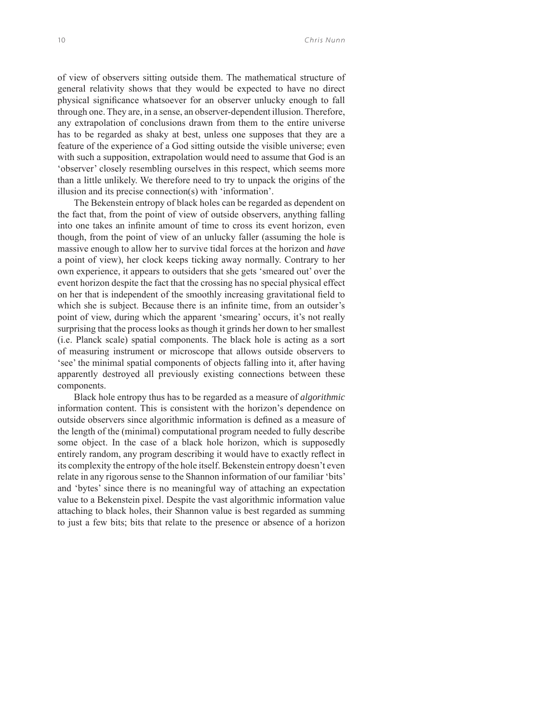of view of observers sitting outside them. The mathematical structure of general relativity shows that they would be expected to have no direct physical significance whatsoever for an observer unlucky enough to fall through one. They are, in a sense, an observer-dependent illusion. Therefore, any extrapolation of conclusions drawn from them to the entire universe has to be regarded as shaky at best, unless one supposes that they are a feature of the experience of a God sitting outside the visible universe; even with such a supposition, extrapolation would need to assume that God is an 'observer' closely resembling ourselves in this respect, which seems more than a little unlikely. We therefore need to try to unpack the origins of the illusion and its precise connection(s) with 'information'.

The Bekenstein entropy of black holes can be regarded as dependent on the fact that, from the point of view of outside observers, anything falling into one takes an infinite amount of time to cross its event horizon, even though, from the point of view of an unlucky faller (assuming the hole is massive enough to allow her to survive tidal forces at the horizon and *have* a point of view), her clock keeps ticking away normally. Contrary to her own experience, it appears to outsiders that she gets 'smeared out' over the event horizon despite the fact that the crossing has no special physical effect on her that is independent of the smoothly increasing gravitational field to which she is subject. Because there is an infinite time, from an outsider's point of view, during which the apparent 'smearing' occurs, it's not really surprising that the process looks as though it grinds her down to her smallest (i.e. Planck scale) spatial components. The black hole is acting as a sort of measuring instrument or microscope that allows outside observers to 'see' the minimal spatial components of objects falling into it, after having apparently destroyed all previously existing connections between these components.

Black hole entropy thus has to be regarded as a measure of *algorithmic* information content. This is consistent with the horizon's dependence on outside observers since algorithmic information is defined as a measure of the length of the (minimal) computational program needed to fully describe some object. In the case of a black hole horizon, which is supposedly entirely random, any program describing it would have to exactly reflect in its complexity the entropy of the hole itself. Bekenstein entropy doesn't even relate in any rigorous sense to the Shannon information of our familiar 'bits' and 'bytes' since there is no meaningful way of attaching an expectation value to a Bekenstein pixel. Despite the vast algorithmic information value attaching to black holes, their Shannon value is best regarded as summing to just a few bits; bits that relate to the presence or absence of a horizon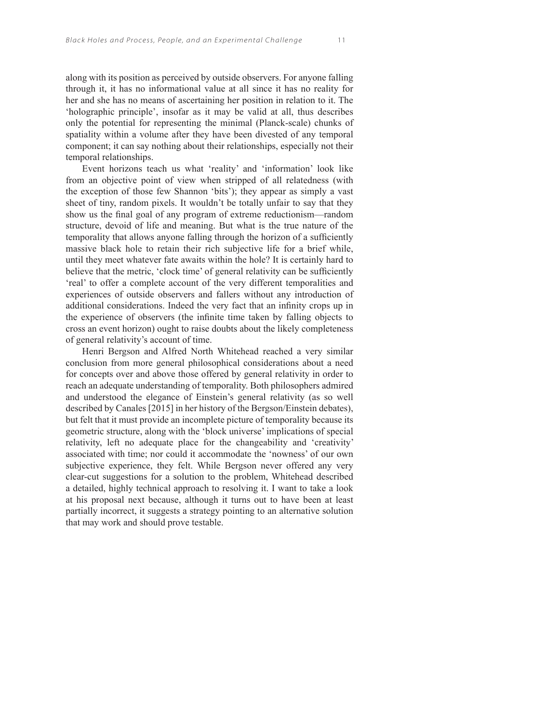along with its position as perceived by outside observers. For anyone falling through it, it has no informational value at all since it has no reality for her and she has no means of ascertaining her position in relation to it. The 'holographic principle', insofar as it may be valid at all, thus describes only the potential for representing the minimal (Planck-scale) chunks of spatiality within a volume after they have been divested of any temporal component; it can say nothing about their relationships, especially not their temporal relationships.

Event horizons teach us what 'reality' and 'information' look like from an objective point of view when stripped of all relatedness (with the exception of those few Shannon 'bits'); they appear as simply a vast sheet of tiny, random pixels. It wouldn't be totally unfair to say that they show us the final goal of any program of extreme reductionism—random structure, devoid of life and meaning. But what is the true nature of the temporality that allows anyone falling through the horizon of a sufficiently massive black hole to retain their rich subjective life for a brief while, until they meet whatever fate awaits within the hole? It is certainly hard to believe that the metric, 'clock time' of general relativity can be sufficiently 'real' to offer a complete account of the very different temporalities and experiences of outside observers and fallers without any introduction of additional considerations. Indeed the very fact that an infinity crops up in the experience of observers (the infinite time taken by falling objects to cross an event horizon) ought to raise doubts about the likely completeness of general relativity's account of time.

Henri Bergson and Alfred North Whitehead reached a very similar conclusion from more general philosophical considerations about a need for concepts over and above those offered by general relativity in order to reach an adequate understanding of temporality. Both philosophers admired and understood the elegance of Einstein's general relativity (as so well described by Canales [2015] in her history of the Bergson/Einstein debates), but felt that it must provide an incomplete picture of temporality because its geometric structure, along with the 'block universe' implications of special relativity, left no adequate place for the changeability and 'creativity' associated with time; nor could it accommodate the 'nowness' of our own subjective experience, they felt. While Bergson never offered any very clear-cut suggestions for a solution to the problem, Whitehead described a detailed, highly technical approach to resolving it. I want to take a look at his proposal next because, although it turns out to have been at least partially incorrect, it suggests a strategy pointing to an alternative solution that may work and should prove testable.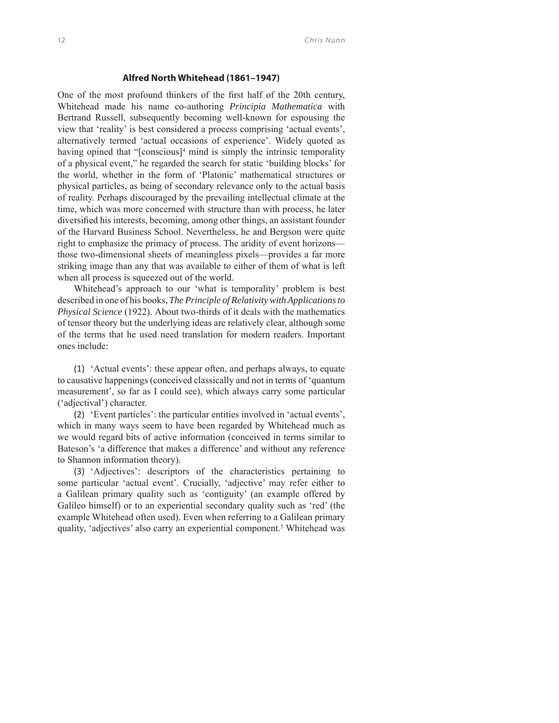#### **Alfred North Whitehead (1861–1947)**

One of the most profound thinkers of the first half of the 20th century, Whitehead made his name co-authoring *Principia Mathematica* with Bertrand Russell, subsequently becoming well-known for espousing the view that 'reality' is best considered a process comprising 'actual events', alternatively termed 'actual occasions of experience'. Widely quoted as having opined that "[conscious]<sup>4</sup> mind is simply the intrinsic temporality of a physical event," he regarded the search for static 'building blocks' for the world, whether in the form of 'Platonic' mathematical structures or physical particles, as being of secondary relevance only to the actual basis of reality. Perhaps discouraged by the prevailing intellectual climate at the time, which was more concerned with structure than with process, he later diversified his interests, becoming, among other things, an assistant founder of the Harvard Business School. Nevertheless, he and Bergson were quite right to emphasize the primacy of process. The aridity of event horizons those two-dimensional sheets of meaningless pixels—provides a far more striking image than any that was available to either of them of what is left when all process is squeezed out of the world.

Whitehead's approach to our 'what is temporality' problem is best described in one of his books, *The Principle of Relativity with Applications to Physical Science* (1922). About two-thirds of it deals with the mathematics of tensor theory but the underlying ideas are relatively clear, although some of the terms that he used need translation for modern readers. Important ones include:

(1) 'Actual events': these appear often, and perhaps always, to equate to causative happenings (conceived classically and not in terms of 'quantum measurement', so far as I could see), which always carry some particular ('adjectival') character.

(2) 'Event particles': the particular entities involved in 'actual events', which in many ways seem to have been regarded by Whitehead much as we would regard bits of active information (conceived in terms similar to Bateson's 'a difference that makes a difference' and without any reference to Shannon information theory).

(3) 'Adjectives': descriptors of the characteristics pertaining to some particular 'actual event'. Crucially, 'adjective' may refer either to a Galilean primary quality such as 'contiguity' (an example offered by Galileo himself) or to an experiential secondary quality such as 'red' (the example Whitehead often used). Even when referring to a Galilean primary quality, 'adjectives' also carry an experiential component.<sup>5</sup> Whitehead was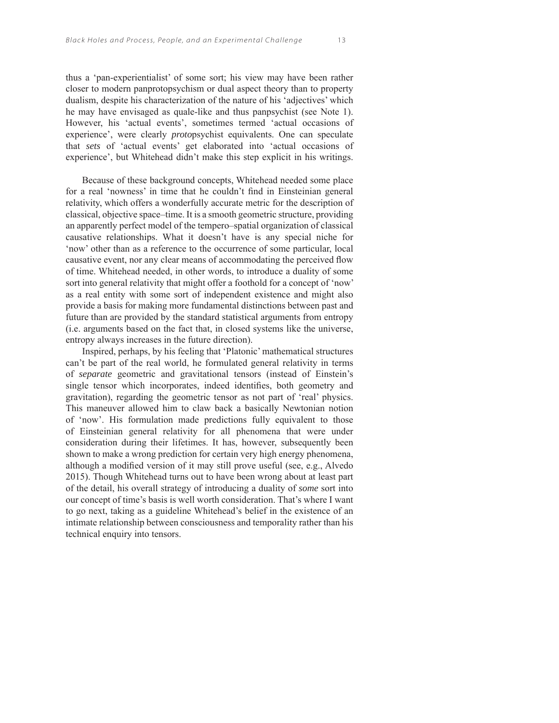thus a 'pan-experientialist' of some sort; his view may have been rather closer to modern panprotopsychism or dual aspect theory than to property dualism, despite his characterization of the nature of his 'adjectives' which he may have envisaged as quale-like and thus panpsychist (see Note 1). However, his 'actual events', sometimes termed 'actual occasions of experience', were clearly *proto*psychist equivalents. One can speculate that *sets* of 'actual events' get elaborated into 'actual occasions of experience', but Whitehead didn't make this step explicit in his writings.

Because of these background concepts, Whitehead needed some place for a real 'nowness' in time that he couldn't find in Einsteinian general relativity, which offers a wonderfully accurate metric for the description of classical, objective space–time. It is a smooth geometric structure, providing an apparently perfect model of the tempero–spatial organization of classical causative relationships. What it doesn't have is any special niche for 'now' other than as a reference to the occurrence of some particular, local causative event, nor any clear means of accommodating the perceived flow of time. Whitehead needed, in other words, to introduce a duality of some sort into general relativity that might offer a foothold for a concept of 'now' as a real entity with some sort of independent existence and might also provide a basis for making more fundamental distinctions between past and future than are provided by the standard statistical arguments from entropy (i.e. arguments based on the fact that, in closed systems like the universe, entropy always increases in the future direction).

Inspired, perhaps, by his feeling that 'Platonic' mathematical structures can't be part of the real world, he formulated general relativity in terms of *separate* geometric and gravitational tensors (instead of Einstein's single tensor which incorporates, indeed identifies, both geometry and gravitation), regarding the geometric tensor as not part of 'real' physics. This maneuver allowed him to claw back a basically Newtonian notion of 'now'. His formulation made predictions fully equivalent to those of Einsteinian general relativity for all phenomena that were under consideration during their lifetimes. It has, however, subsequently been shown to make a wrong prediction for certain very high energy phenomena, although a modified version of it may still prove useful (see, e.g., Alvedo 2015). Though Whitehead turns out to have been wrong about at least part of the detail, his overall strategy of introducing a duality of *some* sort into our concept of time's basis is well worth consideration. That's where I want to go next, taking as a guideline Whitehead's belief in the existence of an intimate relationship between consciousness and temporality rather than his technical enquiry into tensors.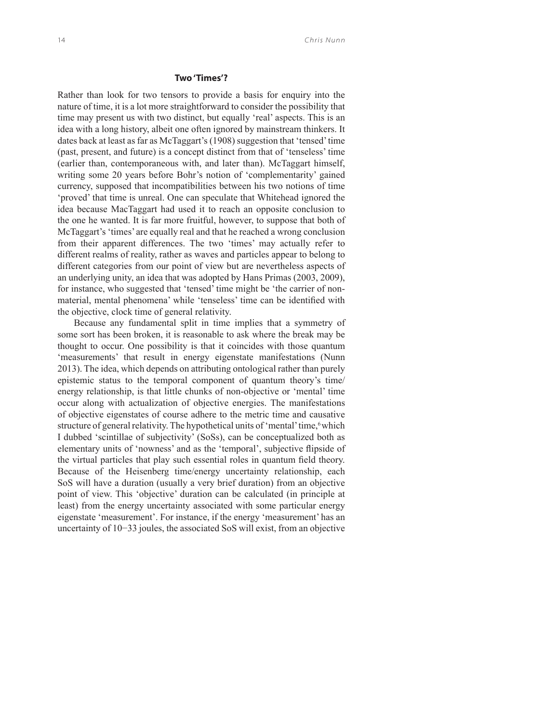### **Two 'Times'?**

Rather than look for two tensors to provide a basis for enquiry into the nature of time, it is a lot more straightforward to consider the possibility that time may present us with two distinct, but equally 'real' aspects. This is an idea with a long history, albeit one often ignored by mainstream thinkers. It dates back at least as far as McTaggart's (1908) suggestion that 'tensed' time (past, present, and future) is a concept distinct from that of 'tenseless' time (earlier than, contemporaneous with, and later than). McTaggart himself, writing some 20 years before Bohr's notion of 'complementarity' gained currency, supposed that incompatibilities between his two notions of time 'proved' that time is unreal. One can speculate that Whitehead ignored the idea because MacTaggart had used it to reach an opposite conclusion to the one he wanted. It is far more fruitful, however, to suppose that both of McTaggart's 'times' are equally real and that he reached a wrong conclusion from their apparent differences. The two 'times' may actually refer to different realms of reality, rather as waves and particles appear to belong to different categories from our point of view but are nevertheless aspects of an underlying unity, an idea that was adopted by Hans Primas (2003, 2009), for instance, who suggested that 'tensed' time might be 'the carrier of nonmaterial, mental phenomena' while 'tenseless' time can be identified with the objective, clock time of general relativity.

Because any fundamental split in time implies that a symmetry of some sort has been broken, it is reasonable to ask where the break may be thought to occur. One possibility is that it coincides with those quantum 'measurements' that result in energy eigenstate manifestations (Nunn 2013). The idea, which depends on attributing ontological rather than purely epistemic status to the temporal component of quantum theory's time/ energy relationship, is that little chunks of non-objective or 'mental' time occur along with actualization of objective energies. The manifestations of objective eigenstates of course adhere to the metric time and causative structure of general relativity. The hypothetical units of 'mental' time, which I dubbed 'scintillae of subjectivity' (SoSs), can be conceptualized both as elementary units of 'nowness' and as the 'temporal', subjective flipside of the virtual particles that play such essential roles in quantum field theory. Because of the Heisenberg time/energy uncertainty relationship, each SoS will have a duration (usually a very brief duration) from an objective point of view. This 'objective' duration can be calculated (in principle at least) from the energy uncertainty associated with some particular energy eigenstate 'measurement'. For instance, if the energy 'measurement' has an uncertainty of 10−33 joules, the associated SoS will exist, from an objective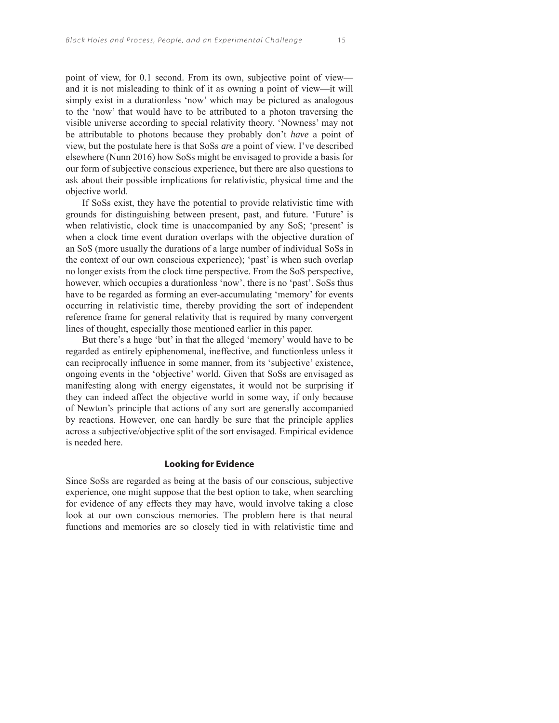point of view, for 0.1 second. From its own, subjective point of view and it is not misleading to think of it as owning a point of view—it will simply exist in a durationless 'now' which may be pictured as analogous to the 'now' that would have to be attributed to a photon traversing the visible universe according to special relativity theory. 'Nowness' may not be attributable to photons because they probably don't *have* a point of view, but the postulate here is that SoSs *are* a point of view. I've described elsewhere (Nunn 2016) how SoSs might be envisaged to provide a basis for our form of subjective conscious experience, but there are also questions to ask about their possible implications for relativistic, physical time and the objective world.

If SoSs exist, they have the potential to provide relativistic time with grounds for distinguishing between present, past, and future. 'Future' is when relativistic, clock time is unaccompanied by any SoS; 'present' is when a clock time event duration overlaps with the objective duration of an SoS (more usually the durations of a large number of individual SoSs in the context of our own conscious experience); 'past' is when such overlap no longer exists from the clock time perspective. From the SoS perspective, however, which occupies a durationless 'now', there is no 'past'. SoSs thus have to be regarded as forming an ever-accumulating 'memory' for events occurring in relativistic time, thereby providing the sort of independent reference frame for general relativity that is required by many convergent lines of thought, especially those mentioned earlier in this paper.

But there's a huge 'but' in that the alleged 'memory' would have to be regarded as entirely epiphenomenal, ineffective, and functionless unless it can reciprocally influence in some manner, from its 'subjective' existence, ongoing events in the 'objective' world. Given that SoSs are envisaged as manifesting along with energy eigenstates, it would not be surprising if they can indeed affect the objective world in some way, if only because of Newton's principle that actions of any sort are generally accompanied by reactions. However, one can hardly be sure that the principle applies across a subjective/objective split of the sort envisaged. Empirical evidence is needed here.

## **Looking for Evidence**

Since SoSs are regarded as being at the basis of our conscious, subjective experience, one might suppose that the best option to take, when searching for evidence of any effects they may have, would involve taking a close look at our own conscious memories. The problem here is that neural functions and memories are so closely tied in with relativistic time and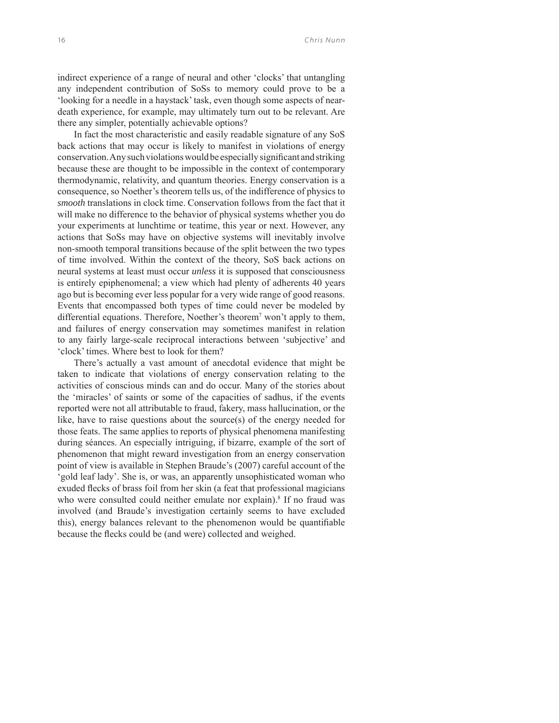indirect experience of a range of neural and other 'clocks' that untangling any independent contribution of SoSs to memory could prove to be a 'looking for a needle in a haystack' task, even though some aspects of neardeath experience, for example, may ultimately turn out to be relevant. Are there any simpler, potentially achievable options?

In fact the most characteristic and easily readable signature of any SoS back actions that may occur is likely to manifest in violations of energy conservation. Any such violations would be especially significant and striking because these are thought to be impossible in the context of contemporary thermodynamic, relativity, and quantum theories. Energy conservation is a consequence, so Noether's theorem tells us, of the indifference of physics to *smooth* translations in clock time. Conservation follows from the fact that it will make no difference to the behavior of physical systems whether you do your experiments at lunchtime or teatime, this year or next. However, any actions that SoSs may have on objective systems will inevitably involve non-smooth temporal transitions because of the split between the two types of time involved. Within the context of the theory, SoS back actions on neural systems at least must occur *unless* it is supposed that consciousness is entirely epiphenomenal; a view which had plenty of adherents 40 years ago but is becoming ever less popular for a very wide range of good reasons. Events that encompassed both types of time could never be modeled by differential equations. Therefore, Noether's theorem7 won't apply to them, and failures of energy conservation may sometimes manifest in relation to any fairly large-scale reciprocal interactions between 'subjective' and 'clock' times. Where best to look for them?

There's actually a vast amount of anecdotal evidence that might be taken to indicate that violations of energy conservation relating to the activities of conscious minds can and do occur. Many of the stories about the 'miracles' of saints or some of the capacities of sadhus, if the events reported were not all attributable to fraud, fakery, mass hallucination, or the like, have to raise questions about the source(s) of the energy needed for those feats. The same applies to reports of physical phenomena manifesting during séances. An especially intriguing, if bizarre, example of the sort of phenomenon that might reward investigation from an energy conservation point of view is available in Stephen Braude's (2007) careful account of the 'gold leaf lady'. She is, or was, an apparently unsophisticated woman who exuded flecks of brass foil from her skin (a feat that professional magicians who were consulted could neither emulate nor explain).<sup>8</sup> If no fraud was involved (and Braude's investigation certainly seems to have excluded this), energy balances relevant to the phenomenon would be quantifiable because the flecks could be (and were) collected and weighed.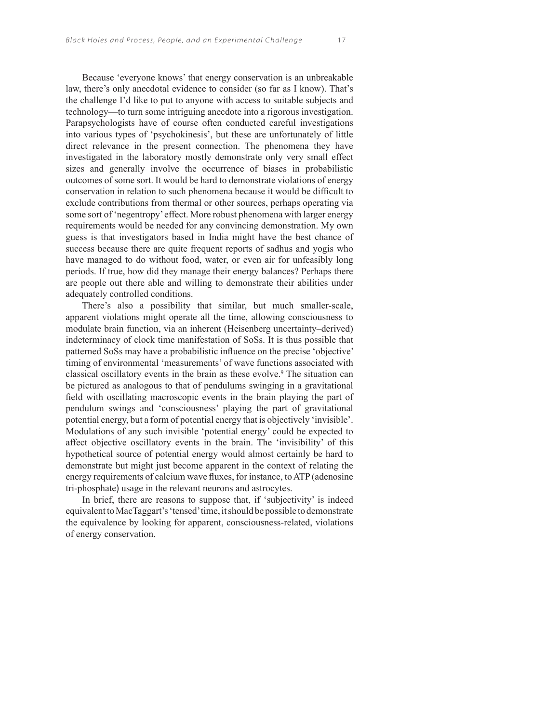Because 'everyone knows' that energy conservation is an unbreakable law, there's only anecdotal evidence to consider (so far as I know). That's the challenge I'd like to put to anyone with access to suitable subjects and technology—to turn some intriguing anecdote into a rigorous investigation. Parapsychologists have of course often conducted careful investigations into various types of 'psychokinesis', but these are unfortunately of little direct relevance in the present connection. The phenomena they have investigated in the laboratory mostly demonstrate only very small effect sizes and generally involve the occurrence of biases in probabilistic outcomes of some sort. It would be hard to demonstrate violations of energy conservation in relation to such phenomena because it would be difficult to exclude contributions from thermal or other sources, perhaps operating via some sort of 'negentropy' effect. More robust phenomena with larger energy requirements would be needed for any convincing demonstration. My own guess is that investigators based in India might have the best chance of success because there are quite frequent reports of sadhus and yogis who have managed to do without food, water, or even air for unfeasibly long periods. If true, how did they manage their energy balances? Perhaps there are people out there able and willing to demonstrate their abilities under adequately controlled conditions.

There's also a possibility that similar, but much smaller-scale, apparent violations might operate all the time, allowing consciousness to modulate brain function, via an inherent (Heisenberg uncertainty–derived) indeterminacy of clock time manifestation of SoSs. It is thus possible that patterned SoSs may have a probabilistic influence on the precise 'objective' timing of environmental 'measurements' of wave functions associated with classical oscillatory events in the brain as these evolve.<sup>9</sup> The situation can be pictured as analogous to that of pendulums swinging in a gravitational field with oscillating macroscopic events in the brain playing the part of pendulum swings and 'consciousness' playing the part of gravitational potential energy, but a form of potential energy that is objectively 'invisible'. Modulations of any such invisible 'potential energy' could be expected to affect objective oscillatory events in the brain. The 'invisibility' of this hypothetical source of potential energy would almost certainly be hard to demonstrate but might just become apparent in the context of relating the energy requirements of calcium wave fluxes, for instance, to ATP (adenosine tri-phosphate) usage in the relevant neurons and astrocytes.

In brief, there are reasons to suppose that, if 'subjectivity' is indeed equivalent to MacTaggart's 'tensed' time, it should be possible to demonstrate the equivalence by looking for apparent, consciousness-related, violations of energy conservation.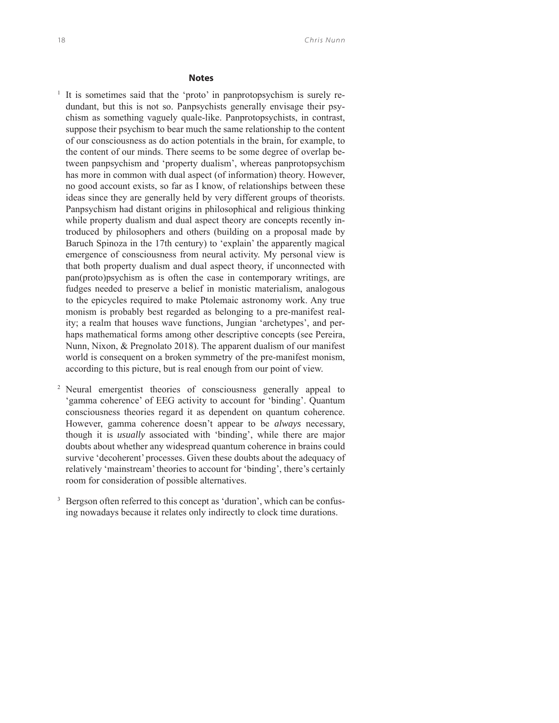# **Notes**

<sup>1</sup> It is sometimes said that the 'proto' in panprotopsychism is surely redundant, but this is not so. Panpsychists generally envisage their psychism as something vaguely quale-like. Panprotopsychists, in contrast, suppose their psychism to bear much the same relationship to the content of our consciousness as do action potentials in the brain, for example, to the content of our minds. There seems to be some degree of overlap between panpsychism and 'property dualism', whereas panprotopsychism has more in common with dual aspect (of information) theory. However, no good account exists, so far as I know, of relationships between these ideas since they are generally held by very different groups of theorists. Panpsychism had distant origins in philosophical and religious thinking while property dualism and dual aspect theory are concepts recently introduced by philosophers and others (building on a proposal made by Baruch Spinoza in the 17th century) to 'explain' the apparently magical emergence of consciousness from neural activity. My personal view is that both property dualism and dual aspect theory, if unconnected with pan(proto)psychism as is often the case in contemporary writings, are fudges needed to preserve a belief in monistic materialism, analogous to the epicycles required to make Ptolemaic astronomy work. Any true monism is probably best regarded as belonging to a pre-manifest reality; a realm that houses wave functions, Jungian 'archetypes', and perhaps mathematical forms among other descriptive concepts (see Pereira, Nunn, Nixon, & Pregnolato 2018). The apparent dualism of our manifest world is consequent on a broken symmetry of the pre-manifest monism, according to this picture, but is real enough from our point of view.

- 2 Neural emergentist theories of consciousness generally appeal to 'gamma coherence' of EEG activity to account for 'binding'. Quantum consciousness theories regard it as dependent on quantum coherence. However, gamma coherence doesn't appear to be *always* necessary, though it is *usually* associated with 'binding', while there are major doubts about whether any widespread quantum coherence in brains could survive 'decoherent' processes. Given these doubts about the adequacy of relatively 'mainstream' theories to account for 'binding', there's certainly room for consideration of possible alternatives.
- 3 Bergson often referred to this concept as 'duration', which can be confusing nowadays because it relates only indirectly to clock time durations.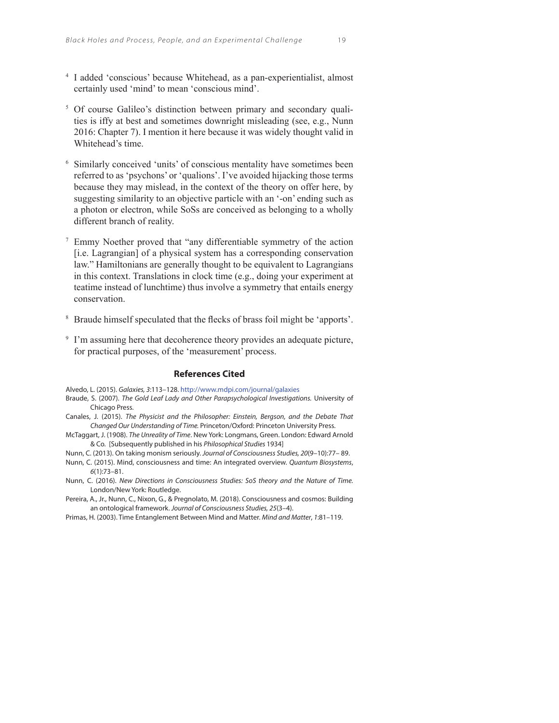- 4 I added 'conscious' because Whitehead, as a pan-experientialist, almost certainly used 'mind' to mean 'conscious mind'.
- <sup>5</sup> Of course Galileo's distinction between primary and secondary qualities is iffy at best and sometimes downright misleading (see, e.g., Nunn 2016: Chapter 7). I mention it here because it was widely thought valid in Whitehead's time.
- 6 Similarly conceived 'units' of conscious mentality have sometimes been referred to as 'psychons' or 'qualions'. I've avoided hijacking those terms because they may mislead, in the context of the theory on offer here, by suggesting similarity to an objective particle with an '-on' ending such as a photon or electron, while SoSs are conceived as belonging to a wholly different branch of reality.
- 7 Emmy Noether proved that "any differentiable symmetry of the action [i.e. Lagrangian] of a physical system has a corresponding conservation law." Hamiltonians are generally thought to be equivalent to Lagrangians in this context. Translations in clock time (e.g., doing your experiment at teatime instead of lunchtime) thus involve a symmetry that entails energy conservation.
- <sup>8</sup> Braude himself speculated that the flecks of brass foil might be 'apports'.
- <sup>9</sup> I'm assuming here that decoherence theory provides an adequate picture, for practical purposes, of the 'measurement' process.

#### **References Cited**

Alvedo, L. (2015). Galaxies, 3:113–128. http://www.mdpi.com/journal/galaxies

- Braude, S. (2007). The Gold Leaf Lady and Other Parapsychological Investigations. University of Chicago Press. Canales, J. (2015). The Physicist and the Philosopher: Einstein, Bergson, and the Debate That
- Changed Our Understanding of Time. Princeton/Oxford: Princeton University Press.
- McTaggart, J. (1908). The Unreality of Time. New York: Longmans, Green. London: Edward Arnold & Co. [Subsequently published in his Philosophical Studies 1934]

Nunn, C. (2013). On taking monism seriously. Journal of Consciousness Studies, 20(9–10):77– 89.

- Nunn, C. (2015). Mind, consciousness and time: An integrated overview. Quantum Biosystems, 6(1):73–81.
- Nunn, C. (2016). New Directions in Consciousness Studies: SoS theory and the Nature of Time. London/New York: Routledge.
- Pereira, A., Jr., Nunn, C., Nixon, G., & Pregnolato, M. (2018). Consciousness and cosmos: Building an ontological framework. Journal of Consciousness Studies, 25(3–4).
- Primas, H. (2003). Time Entanglement Between Mind and Matter. Mind and Matter, 1:81–119.